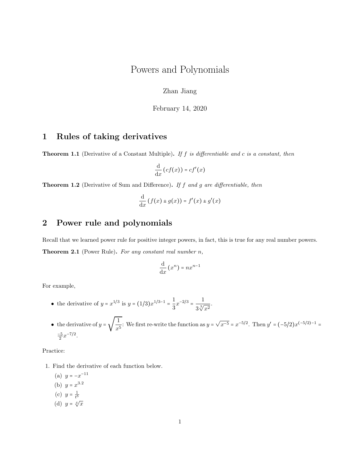# Powers and Polynomials

Zhan Jiang

February 14, 2020

## 1 Rules of taking derivatives

**Theorem 1.1** (Derivative of a Constant Multiple). If f is differentiable and c is a constant, then

$$
\frac{\mathrm{d}}{\mathrm{d}x}\left(cf(x)\right) = cf'(x)
$$

**Theorem 1.2** (Derivative of Sum and Difference). If  $f$  and  $g$  are differentiable, then

$$
\frac{\mathrm{d}}{\mathrm{d}x}\left(f(x) \pm g(x)\right) = f'(x) \pm g'(x)
$$

#### 2 Power rule and polynomials

Recall that we learned power rule for positive integer powers, in fact, this is true for any real number powers. **Theorem 2.1** (Power Rule). For any constant real number  $n$ ,

$$
\frac{\mathrm{d}}{\mathrm{d}x}(x^n) = nx^{n-1}
$$

For example,

- the derivative of  $y = x^{1/3}$  is  $y = (1/3)x^{1/3-1} = \frac{1}{2}$  $rac{1}{3}x^{-2/3} = \frac{1}{3\sqrt[3]{3}}$  $rac{1}{3\sqrt[3]{x^2}}$ .
- the derivative of  $y = \sqrt{\frac{1}{x}}$  $\frac{1}{x^5}$ : We first re-write the function as  $y =$ √  $\overline{x^{-5}} = x^{-5/2}$ . Then  $y' = (-5/2)x^{(-5/2)-1}$  $\frac{-5}{2}x^{-7/2}$ .

Practice:

- 1. Find the derivative of each function below.
	- (a)  $y = -x^{-11}$ (b)  $y = x^{3.2}$ (c)  $y = \frac{1}{t^5}$
	- (d)  $y = \sqrt[4]{x}$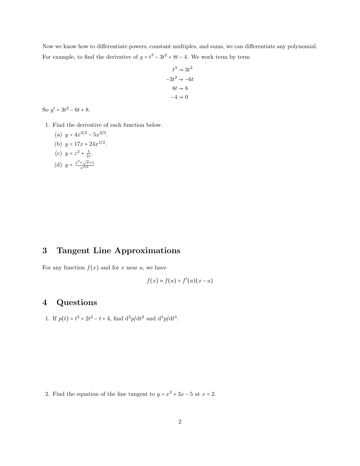Now we know how to differentiate powers, constant multiples, and sums, we can differentiate any polynomial. For example, to find the derivative of  $y = t^3 - 3t^2 + 8t - 4$ . We work term by term

$$
t^3 \rightsquigarrow 3t^2
$$

$$
-3t^2 \rightsquigarrow -6t
$$

$$
8t \rightsquigarrow 8
$$

$$
-4 \rightsquigarrow 0
$$

So  $y' = 3t^2 - 6t + 8$ .

1. Find the derivative of each function below.

.

(a) 
$$
y = 4x^{3/2} - 5x^{2/3}
$$

(b) 
$$
y = 17x + 24x^{1/2}
$$
.

(c) 
$$
y = z^2 + \frac{1}{2z}
$$
.

(d) 
$$
y = \frac{x^2 + \sqrt{x+1}}{x^{3/2}}
$$

## 3 Tangent Line Approximations

For any function  $f(x)$  and for x near a, we have

$$
f(x) \approx f(a) + f'(a)(x - a)
$$

## 4 Questions

1. If  $p(t) = t^3 + 2t^2 - t + 4$ , find  $\frac{d^2p}{dt^2}$  and  $\frac{d^3p}{dt^3}$ .

2. Find the equation of the line tangent to  $y = x^2 + 3x - 5$  at  $x = 2$ .